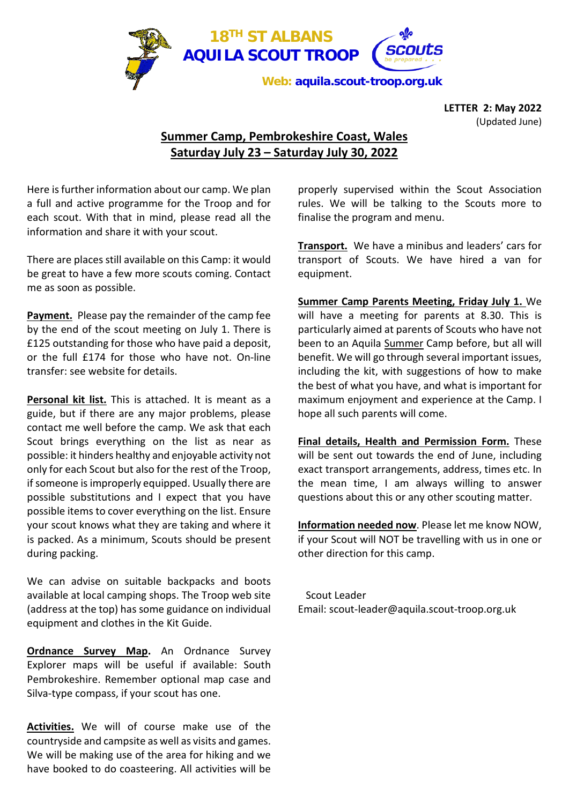

**LETTER 2: May 2022** (Updated June)

## **Summer Camp, Pembrokeshire Coast, Wales Saturday July 23 – Saturday July 30, 2022**

Here isfurther information about our camp. We plan a full and active programme for the Troop and for each scout. With that in mind, please read all the information and share it with your scout.

There are places still available on this Camp: it would be great to have a few more scouts coming. Contact me as soon as possible.

**Payment.** Please pay the remainder of the camp fee by the end of the scout meeting on July 1. There is £125 outstanding for those who have paid a deposit, or the full £174 for those who have not. On-line transfer: see website for details.

**Personal kit list.** This is attached. It is meant as a guide, but if there are any major problems, please contact me well before the camp. We ask that each Scout brings everything on the list as near as possible: it hinders healthy and enjoyable activity not only for each Scout but also for the rest of the Troop, if someone is improperly equipped. Usually there are possible substitutions and I expect that you have possible items to cover everything on the list. Ensure your scout knows what they are taking and where it is packed. As a minimum, Scouts should be present during packing.

We can advise on suitable backpacks and boots available at local camping shops. The Troop web site (address at the top) has some guidance on individual equipment and clothes in the Kit Guide.

**Ordnance Survey Map.** An Ordnance Survey Explorer maps will be useful if available: South Pembrokeshire. Remember optional map case and Silva-type compass, if your scout has one.

**Activities.** We will of course make use of the countryside and campsite as well as visits and games. We will be making use of the area for hiking and we have booked to do coasteering. All activities will be properly supervised within the Scout Association rules. We will be talking to the Scouts more to finalise the program and menu.

**Transport.** We have a minibus and leaders' cars for transport of Scouts. We have hired a van for equipment.

**Summer Camp Parents Meeting, Friday July 1.** We will have a meeting for parents at 8.30. This is particularly aimed at parents of Scouts who have not been to an Aquila Summer Camp before, but all will benefit. We will go through several important issues, including the kit, with suggestions of how to make the best of what you have, and what is important for maximum enjoyment and experience at the Camp. I hope all such parents will come.

**Final details, Health and Permission Form.** These will be sent out towards the end of June, including exact transport arrangements, address, times etc. In the mean time, I am always willing to answer questions about this or any other scouting matter.

**Information needed now**. Please let me know NOW, if your Scout will NOT be travelling with us in one or other direction for this camp.

 Scout Leader Email: scout-leader@aquila.scout-troop.org.uk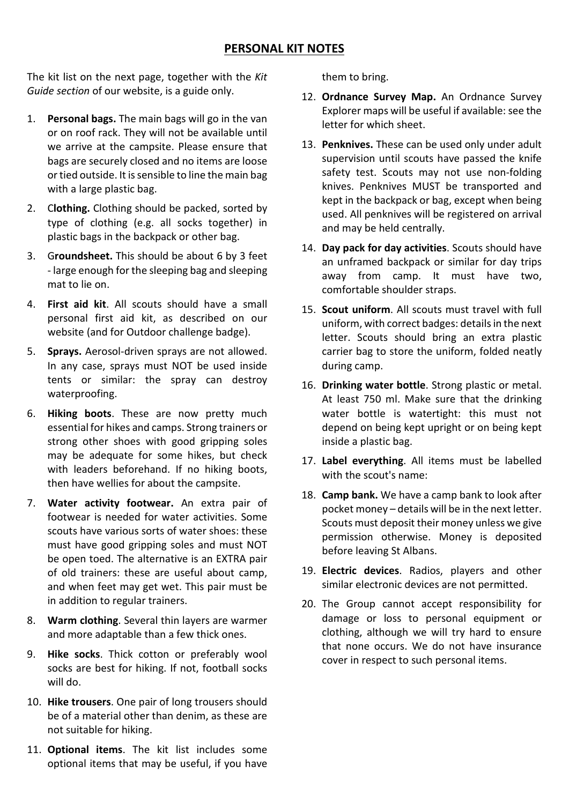## **PERSONAL KIT NOTES**

The kit list on the next page, together with the *Kit Guide section* of our website, is a guide only.

- 1. **Personal bags.** The main bags will go in the van or on roof rack. They will not be available until we arrive at the campsite. Please ensure that bags are securely closed and no items are loose or tied outside. It is sensible to line the main bag with a large plastic bag.
- 2. C**lothing.** Clothing should be packed, sorted by type of clothing (e.g. all socks together) in plastic bags in the backpack or other bag.
- 3. G**roundsheet.** This should be about 6 by 3 feet - large enough for the sleeping bag and sleeping mat to lie on.
- 4. **First aid kit**. All scouts should have a small personal first aid kit, as described on our website (and for Outdoor challenge badge).
- 5. **Sprays.** Aerosol-driven sprays are not allowed. In any case, sprays must NOT be used inside tents or similar: the spray can destroy waterproofing.
- 6. **Hiking boots**. These are now pretty much essential for hikes and camps. Strong trainers or strong other shoes with good gripping soles may be adequate for some hikes, but check with leaders beforehand. If no hiking boots, then have wellies for about the campsite.
- 7. **Water activity footwear.** An extra pair of footwear is needed for water activities. Some scouts have various sorts of water shoes: these must have good gripping soles and must NOT be open toed. The alternative is an EXTRA pair of old trainers: these are useful about camp, and when feet may get wet. This pair must be in addition to regular trainers.
- 8. **Warm clothing**. Several thin layers are warmer and more adaptable than a few thick ones.
- 9. **Hike socks**. Thick cotton or preferably wool socks are best for hiking. If not, football socks will do.
- 10. **Hike trousers**. One pair of long trousers should be of a material other than denim, as these are not suitable for hiking.
- 11. **Optional items**. The kit list includes some optional items that may be useful, if you have

them to bring.

- 12. **Ordnance Survey Map.** An Ordnance Survey Explorer maps will be useful if available: see the letter for which sheet.
- 13. **Penknives.** These can be used only under adult supervision until scouts have passed the knife safety test. Scouts may not use non-folding knives. Penknives MUST be transported and kept in the backpack or bag, except when being used. All penknives will be registered on arrival and may be held centrally.
- 14. **Day pack for day activities**. Scouts should have an unframed backpack or similar for day trips away from camp. It must have two, comfortable shoulder straps.
- 15. **Scout uniform**. All scouts must travel with full uniform, with correct badges: details in the next letter. Scouts should bring an extra plastic carrier bag to store the uniform, folded neatly during camp.
- 16. **Drinking water bottle**. Strong plastic or metal. At least 750 ml. Make sure that the drinking water bottle is watertight: this must not depend on being kept upright or on being kept inside a plastic bag.
- 17. **Label everything**. All items must be labelled with the scout's name:
- 18. **Camp bank.** We have a camp bank to look after pocket money – details will be in the next letter. Scouts must deposit their money unless we give permission otherwise. Money is deposited before leaving St Albans.
- 19. **Electric devices**. Radios, players and other similar electronic devices are not permitted.
- 20. The Group cannot accept responsibility for damage or loss to personal equipment or clothing, although we will try hard to ensure that none occurs. We do not have insurance cover in respect to such personal items.